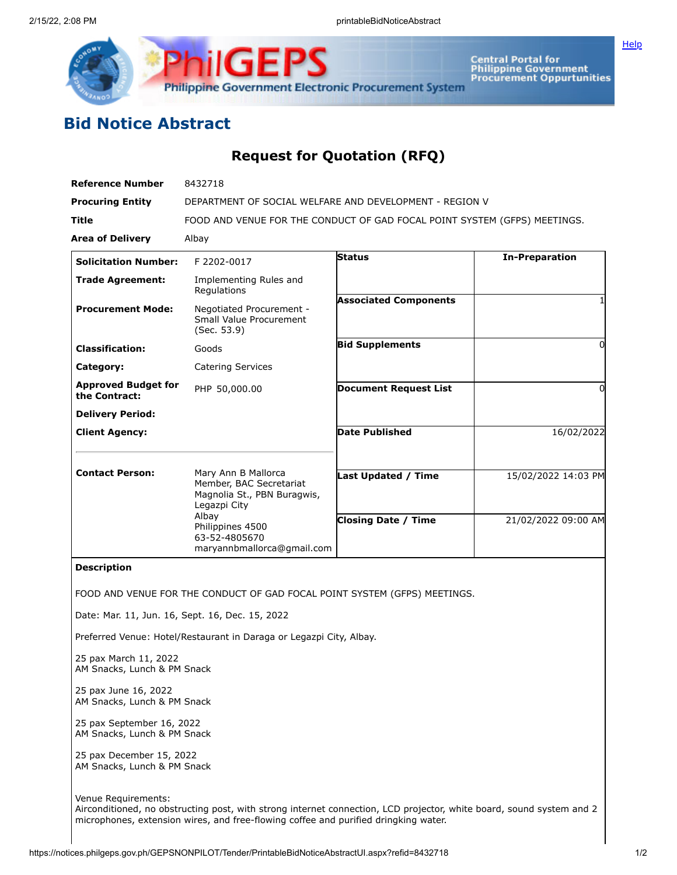



Central Portal for<br>Philippine Government<br>Procurement Oppurtunities

## **Bid Notice Abstract**

## **Request for Quotation (RFQ)**

| <b>Reference Number</b>                     | 8432718                                                                                                                                                                   |                              |                       |
|---------------------------------------------|---------------------------------------------------------------------------------------------------------------------------------------------------------------------------|------------------------------|-----------------------|
| <b>Procuring Entity</b>                     | DEPARTMENT OF SOCIAL WELFARE AND DEVELOPMENT - REGION V                                                                                                                   |                              |                       |
| <b>Title</b>                                | FOOD AND VENUE FOR THE CONDUCT OF GAD FOCAL POINT SYSTEM (GFPS) MEETINGS.                                                                                                 |                              |                       |
| <b>Area of Delivery</b>                     | Albay                                                                                                                                                                     |                              |                       |
| <b>Solicitation Number:</b>                 | F 2202-0017                                                                                                                                                               | <b>Status</b>                | <b>In-Preparation</b> |
| <b>Trade Agreement:</b>                     | Implementing Rules and<br>Regulations                                                                                                                                     |                              |                       |
| <b>Procurement Mode:</b>                    | Negotiated Procurement -<br>Small Value Procurement<br>(Sec. 53.9)                                                                                                        | <b>Associated Components</b> |                       |
| <b>Classification:</b>                      | Goods                                                                                                                                                                     | <b>Bid Supplements</b>       | ŋ                     |
| Category:                                   | <b>Catering Services</b>                                                                                                                                                  |                              |                       |
| <b>Approved Budget for</b><br>the Contract: | PHP 50,000.00                                                                                                                                                             | <b>Document Request List</b> | 0                     |
| <b>Delivery Period:</b>                     |                                                                                                                                                                           |                              |                       |
| <b>Client Agency:</b>                       |                                                                                                                                                                           | Date Published               | 16/02/2022            |
| <b>Contact Person:</b>                      | Mary Ann B Mallorca<br>Member, BAC Secretariat<br>Magnolia St., PBN Buragwis,<br>Legazpi City<br>Albay<br>Philippines 4500<br>63-52-4805670<br>maryannbmallorca@qmail.com | <b>Last Updated / Time</b>   | 15/02/2022 14:03 PM   |
|                                             |                                                                                                                                                                           | <b>Closing Date / Time</b>   | 21/02/2022 09:00 AM   |
| <b>Description</b>                          |                                                                                                                                                                           |                              |                       |

FOOD AND VENUE FOR THE CONDUCT OF GAD FOCAL POINT SYSTEM (GFPS) MEETINGS.

Date: Mar. 11, Jun. 16, Sept. 16, Dec. 15, 2022

Preferred Venue: Hotel/Restaurant in Daraga or Legazpi City, Albay.

25 pax March 11, 2022 AM Snacks, Lunch & PM Snack

25 pax June 16, 2022 AM Snacks, Lunch & PM Snack

25 pax September 16, 2022 AM Snacks, Lunch & PM Snack

25 pax December 15, 2022 AM Snacks, Lunch & PM Snack

Venue Requirements: Airconditioned, no obstructing post, with strong internet connection, LCD projector, white board, sound system and 2 microphones, extension wires, and free-flowing coffee and purified dringking water.